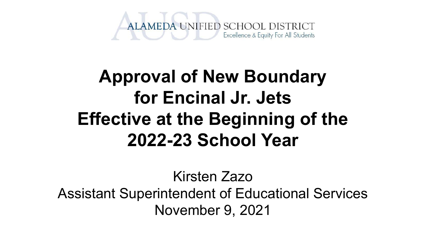

### **Approval of New Boundary for Encinal Jr. Jets Effective at the Beginning of the 2022-23 School Year**

Kirsten Zazo Assistant Superintendent of Educational Services November 9, 2021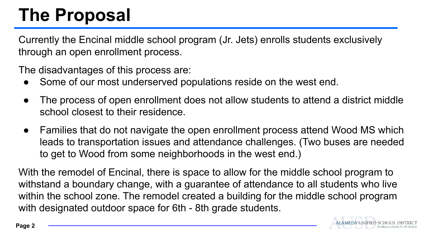## **The Proposal**

Currently the Encinal middle school program (Jr. Jets) enrolls students exclusively through an open enrollment process.

The disadvantages of this process are:

- Some of our most underserved populations reside on the west end.
- The process of open enrollment does not allow students to attend a district middle school closest to their residence.
- Families that do not navigate the open enrollment process attend Wood MS which leads to transportation issues and attendance challenges. (Two buses are needed to get to Wood from some neighborhoods in the west end.)

With the remodel of Encinal, there is space to allow for the middle school program to withstand a boundary change, with a guarantee of attendance to all students who live within the school zone. The remodel created a building for the middle school program with designated outdoor space for 6th - 8th grade students.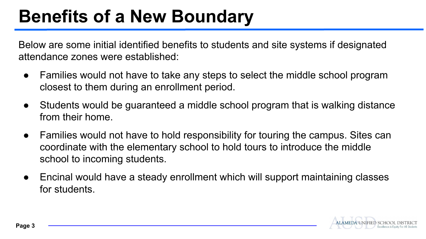### **Benefits of a New Boundary**

Below are some initial identified benefits to students and site systems if designated attendance zones were established:

- Families would not have to take any steps to select the middle school program closest to them during an enrollment period.
- Students would be guaranteed a middle school program that is walking distance from their home.
- Families would not have to hold responsibility for touring the campus. Sites can coordinate with the elementary school to hold tours to introduce the middle school to incoming students.
- Encinal would have a steady enrollment which will support maintaining classes for students.

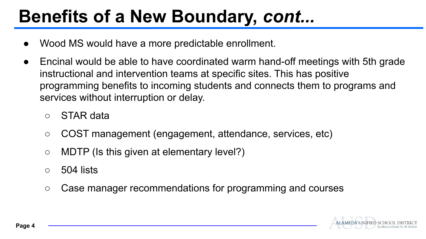### **Benefits of a New Boundary,** *cont...*

- Wood MS would have a more predictable enrollment.
- Encinal would be able to have coordinated warm hand-off meetings with 5th grade instructional and intervention teams at specific sites. This has positive programming benefits to incoming students and connects them to programs and services without interruption or delay.
	- STAR data
	- COST management (engagement, attendance, services, etc)
	- MDTP (Is this given at elementary level?)
	- $\circ$  504 lists
	- Case manager recommendations for programming and courses

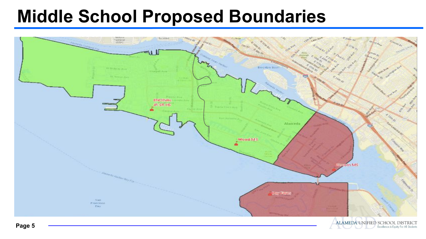#### **Middle School Proposed Boundaries**



Excellence & Equity For All Students